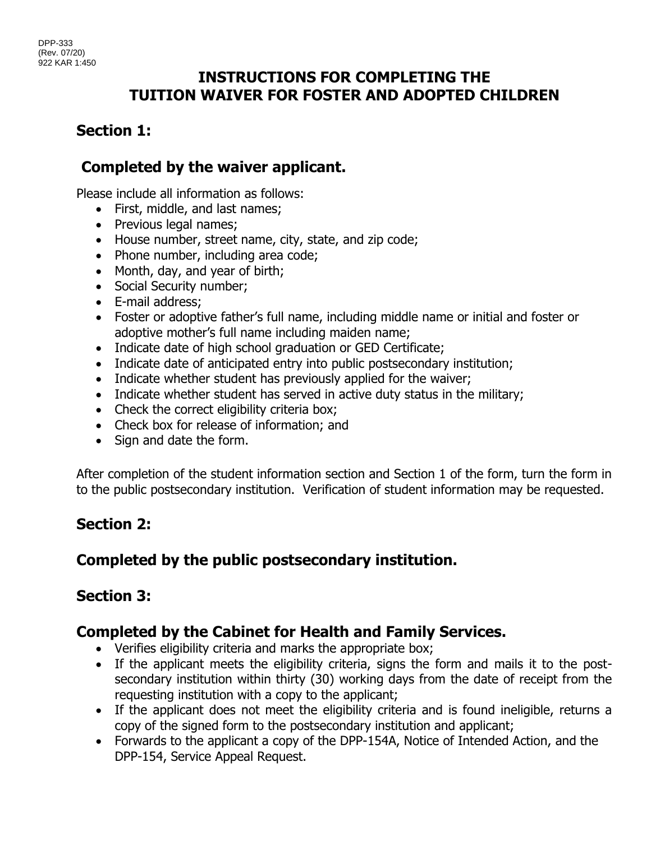### **INSTRUCTIONS FOR COMPLETING THE TUITION WAIVER FOR FOSTER AND ADOPTED CHILDREN**

# **Section 1:**

## **Completed by the waiver applicant.**

Please include all information as follows:

- First, middle, and last names;
- Previous legal names;
- House number, street name, city, state, and zip code;
- Phone number, including area code;
- Month, day, and year of birth;
- Social Security number;
- E-mail address;
- Foster or adoptive father's full name, including middle name or initial and foster or adoptive mother's full name including maiden name;
- Indicate date of high school graduation or GED Certificate;
- Indicate date of anticipated entry into public postsecondary institution;
- Indicate whether student has previously applied for the waiver;
- Indicate whether student has served in active duty status in the military;
- Check the correct eligibility criteria box;
- Check box for release of information; and
- Sign and date the form.

After completion of the student information section and Section 1 of the form, turn the form in to the public postsecondary institution. Verification of student information may be requested.

# **Section 2:**

# **Completed by the public postsecondary institution.**

## **Section 3:**

## **Completed by the Cabinet for Health and Family Services.**

- Verifies eligibility criteria and marks the appropriate box;
- If the applicant meets the eligibility criteria, signs the form and mails it to the postsecondary institution within thirty (30) working days from the date of receipt from the requesting institution with a copy to the applicant;
- If the applicant does not meet the eligibility criteria and is found ineligible, returns a copy of the signed form to the postsecondary institution and applicant;
- Forwards to the applicant a copy of the DPP-154A, Notice of Intended Action, and the DPP-154, Service Appeal Request.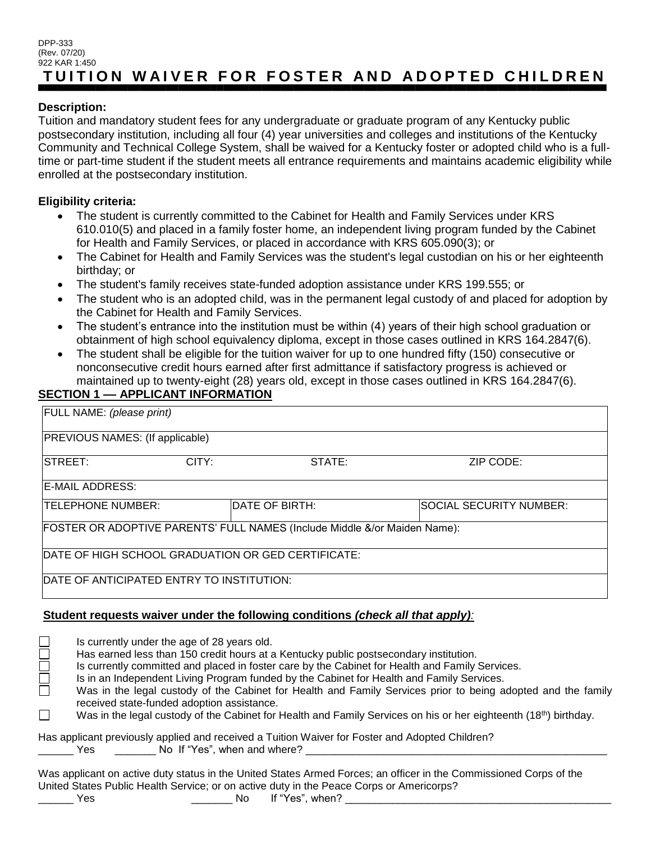#### DPP-333 (Rev. 07/20) 922 KAR 1:450 **TUITION WAIVER FOR FOSTER AND ADOPTED CHILDREN**

#### **Description:**

Tuition and mandatory student fees for any undergraduate or graduate program of any Kentucky public postsecondary institution, including all four (4) year universities and colleges and institutions of the Kentucky Community and Technical College System, shall be waived for a Kentucky foster or adopted child who is a fulltime or part-time student if the student meets all entrance requirements and maintains academic eligibility while enrolled at the postsecondary institution.

#### **Eligibility criteria:**

- The student is currently committed to the Cabinet for Health and Family Services under KRS 610.010(5) and placed in a family foster home, an independent living program funded by the Cabinet for Health and Family Services, or placed in accordance with KRS 605.090(3); or
- The Cabinet for Health and Family Services was the student's legal custodian on his or her eighteenth birthday; or
- The student's family receives state-funded adoption assistance under KRS 199.555; or
- The student who is an adopted child, was in the permanent legal custody of and placed for adoption by the Cabinet for Health and Family Services.
- The student's entrance into the institution must be within (4) years of their high school graduation or obtainment of high school equivalency diploma, except in those cases outlined in KRS 164.2847(6).
- The student shall be eligible for the tuition waiver for up to one hundred fifty (150) consecutive or nonconsecutive credit hours earned after first admittance if satisfactory progress is achieved or maintained up to twenty-eight (28) years old, except in those cases outlined in KRS 164.2847(6).

### **SECTION 1 –– APPLICANT INFORMATION**

| FULL NAME: (please print)                                                 |                       |                                |
|---------------------------------------------------------------------------|-----------------------|--------------------------------|
| <b>PREVIOUS NAMES: (If applicable)</b>                                    |                       |                                |
| <b>ISTREET:</b><br>CITY:                                                  | STATE:                | ZIP CODE:                      |
| <b>IE-MAIL ADDRESS:</b>                                                   |                       |                                |
| <b>ITELEPHONE NUMBER:</b>                                                 | <b>DATE OF BIRTH:</b> | <b>SOCIAL SECURITY NUMBER:</b> |
| FOSTER OR ADOPTIVE PARENTS' FULL NAMES (Include Middle &/or Maiden Name): |                       |                                |
| DATE OF HIGH SCHOOL GRADUATION OR GED CERTIFICATE:                        |                       |                                |
| DATE OF ANTICIPATED ENTRY TO INSTITUTION:                                 |                       |                                |

#### **Student requests waiver under the following conditions** *(check all that apply):*

Is currently under the age of 28 years old.

- Has earned less than 150 credit hours at a Kentucky public postsecondary institution.
- Is currently committed and placed in foster care by the Cabinet for Health and Family Services.
- Is in an Independent Living Program funded by the Cabinet for Health and Family Services.
- Was in the legal custody of the Cabinet for Health and Family Services prior to being adopted and the family received state-funded adoption assistance.
- $\Box$ Was in the legal custody of the Cabinet for Health and Family Services on his or her eighteenth (18<sup>th</sup>) birthday.

Has applicant previously applied and received a Tuition Waiver for Foster and Adopted Children? Yes \_\_\_\_\_\_\_\_\_\_\_\_\_\_\_\_No If "Yes", when and where?

Was applicant on active duty status in the United States Armed Forces; an officer in the Commissioned Corps of the United States Public Health Service; or on active duty in the Peace Corps or Americorps?

Ē